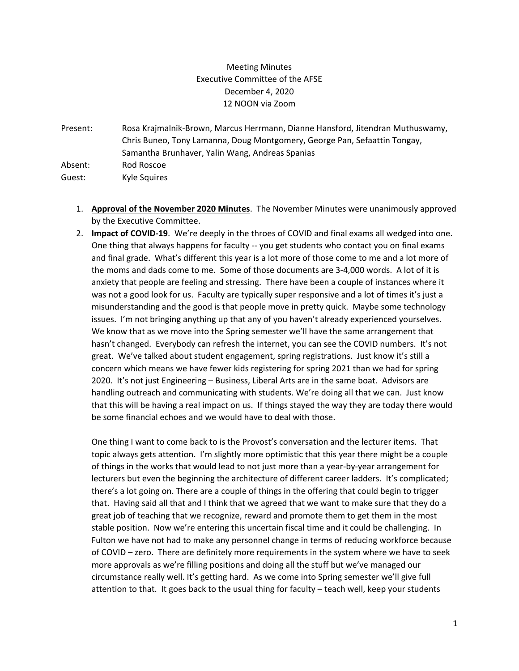## Meeting Minutes Executive Committee of the AFSE December 4, 2020 12 NOON via Zoom

Present: Rosa Krajmalnik-Brown, Marcus Herrmann, Dianne Hansford, Jitendran Muthuswamy, Chris Buneo, Tony Lamanna, Doug Montgomery, George Pan, Sefaattin Tongay, Samantha Brunhaver, Yalin Wang, Andreas Spanias Absent: Rod Roscoe

Guest: Kyle Squires

- 1. **Approval of the November 2020 Minutes**. The November Minutes were unanimously approved by the Executive Committee.
- 2. **Impact of COVID-19**. We're deeply in the throes of COVID and final exams all wedged into one. One thing that always happens for faculty -- you get students who contact you on final exams and final grade. What's different this year is a lot more of those come to me and a lot more of the moms and dads come to me. Some of those documents are 3-4,000 words. A lot of it is anxiety that people are feeling and stressing. There have been a couple of instances where it was not a good look for us. Faculty are typically super responsive and a lot of times it's just a misunderstanding and the good is that people move in pretty quick. Maybe some technology issues. I'm not bringing anything up that any of you haven't already experienced yourselves. We know that as we move into the Spring semester we'll have the same arrangement that hasn't changed. Everybody can refresh the internet, you can see the COVID numbers. It's not great. We've talked about student engagement, spring registrations. Just know it's still a concern which means we have fewer kids registering for spring 2021 than we had for spring 2020. It's not just Engineering – Business, Liberal Arts are in the same boat. Advisors are handling outreach and communicating with students. We're doing all that we can. Just know that this will be having a real impact on us. If things stayed the way they are today there would be some financial echoes and we would have to deal with those.

One thing I want to come back to is the Provost's conversation and the lecturer items. That topic always gets attention. I'm slightly more optimistic that this year there might be a couple of things in the works that would lead to not just more than a year-by-year arrangement for lecturers but even the beginning the architecture of different career ladders. It's complicated; there's a lot going on. There are a couple of things in the offering that could begin to trigger that. Having said all that and I think that we agreed that we want to make sure that they do a great job of teaching that we recognize, reward and promote them to get them in the most stable position. Now we're entering this uncertain fiscal time and it could be challenging. In Fulton we have not had to make any personnel change in terms of reducing workforce because of COVID – zero. There are definitely more requirements in the system where we have to seek more approvals as we're filling positions and doing all the stuff but we've managed our circumstance really well. It's getting hard. As we come into Spring semester we'll give full attention to that. It goes back to the usual thing for faculty – teach well, keep your students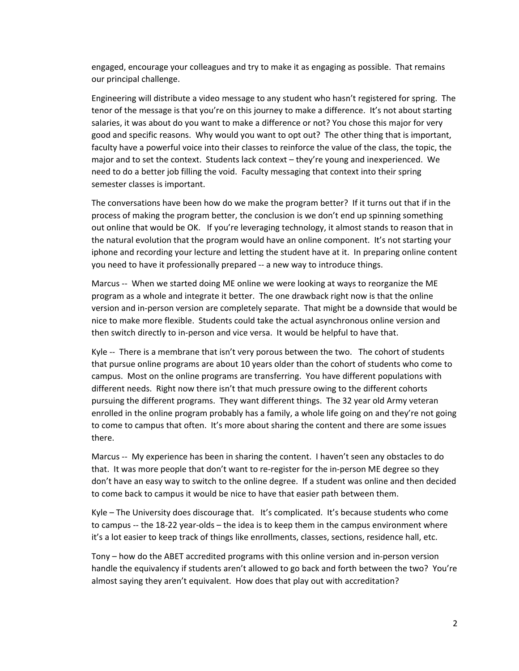engaged, encourage your colleagues and try to make it as engaging as possible. That remains our principal challenge.

Engineering will distribute a video message to any student who hasn't registered for spring. The tenor of the message is that you're on this journey to make a difference. It's not about starting salaries, it was about do you want to make a difference or not? You chose this major for very good and specific reasons. Why would you want to opt out? The other thing that is important, faculty have a powerful voice into their classes to reinforce the value of the class, the topic, the major and to set the context. Students lack context – they're young and inexperienced. We need to do a better job filling the void. Faculty messaging that context into their spring semester classes is important.

The conversations have been how do we make the program better? If it turns out that if in the process of making the program better, the conclusion is we don't end up spinning something out online that would be OK. If you're leveraging technology, it almost stands to reason that in the natural evolution that the program would have an online component. It's not starting your iphone and recording your lecture and letting the student have at it. In preparing online content you need to have it professionally prepared -- a new way to introduce things.

Marcus -- When we started doing ME online we were looking at ways to reorganize the ME program as a whole and integrate it better. The one drawback right now is that the online version and in-person version are completely separate. That might be a downside that would be nice to make more flexible. Students could take the actual asynchronous online version and then switch directly to in-person and vice versa. It would be helpful to have that.

Kyle -- There is a membrane that isn't very porous between the two. The cohort of students that pursue online programs are about 10 years older than the cohort of students who come to campus. Most on the online programs are transferring. You have different populations with different needs. Right now there isn't that much pressure owing to the different cohorts pursuing the different programs. They want different things. The 32 year old Army veteran enrolled in the online program probably has a family, a whole life going on and they're not going to come to campus that often. It's more about sharing the content and there are some issues there.

Marcus -- My experience has been in sharing the content. I haven't seen any obstacles to do that. It was more people that don't want to re-register for the in-person ME degree so they don't have an easy way to switch to the online degree. If a student was online and then decided to come back to campus it would be nice to have that easier path between them.

Kyle – The University does discourage that. It's complicated. It's because students who come to campus -- the 18-22 year-olds – the idea is to keep them in the campus environment where it's a lot easier to keep track of things like enrollments, classes, sections, residence hall, etc.

Tony – how do the ABET accredited programs with this online version and in-person version handle the equivalency if students aren't allowed to go back and forth between the two? You're almost saying they aren't equivalent. How does that play out with accreditation?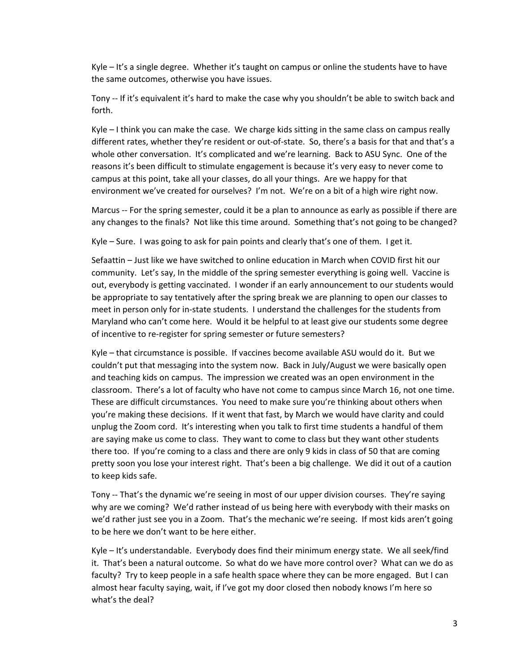Kyle – It's a single degree. Whether it's taught on campus or online the students have to have the same outcomes, otherwise you have issues.

Tony -- If it's equivalent it's hard to make the case why you shouldn't be able to switch back and forth.

Kyle – I think you can make the case. We charge kids sitting in the same class on campus really different rates, whether they're resident or out-of-state. So, there's a basis for that and that's a whole other conversation. It's complicated and we're learning. Back to ASU Sync. One of the reasons it's been difficult to stimulate engagement is because it's very easy to never come to campus at this point, take all your classes, do all your things. Are we happy for that environment we've created for ourselves? I'm not. We're on a bit of a high wire right now.

Marcus -- For the spring semester, could it be a plan to announce as early as possible if there are any changes to the finals? Not like this time around. Something that's not going to be changed?

Kyle – Sure. I was going to ask for pain points and clearly that's one of them. I get it.

Sefaattin – Just like we have switched to online education in March when COVID first hit our community. Let's say, In the middle of the spring semester everything is going well. Vaccine is out, everybody is getting vaccinated. I wonder if an early announcement to our students would be appropriate to say tentatively after the spring break we are planning to open our classes to meet in person only for in-state students. I understand the challenges for the students from Maryland who can't come here. Would it be helpful to at least give our students some degree of incentive to re-register for spring semester or future semesters?

Kyle – that circumstance is possible. If vaccines become available ASU would do it. But we couldn't put that messaging into the system now. Back in July/August we were basically open and teaching kids on campus. The impression we created was an open environment in the classroom. There's a lot of faculty who have not come to campus since March 16, not one time. These are difficult circumstances. You need to make sure you're thinking about others when you're making these decisions. If it went that fast, by March we would have clarity and could unplug the Zoom cord. It's interesting when you talk to first time students a handful of them are saying make us come to class. They want to come to class but they want other students there too. If you're coming to a class and there are only 9 kids in class of 50 that are coming pretty soon you lose your interest right. That's been a big challenge. We did it out of a caution to keep kids safe.

Tony -- That's the dynamic we're seeing in most of our upper division courses. They're saying why are we coming? We'd rather instead of us being here with everybody with their masks on we'd rather just see you in a Zoom. That's the mechanic we're seeing. If most kids aren't going to be here we don't want to be here either.

Kyle – It's understandable. Everybody does find their minimum energy state. We all seek/find it. That's been a natural outcome. So what do we have more control over? What can we do as faculty? Try to keep people in a safe health space where they can be more engaged. But I can almost hear faculty saying, wait, if I've got my door closed then nobody knows I'm here so what's the deal?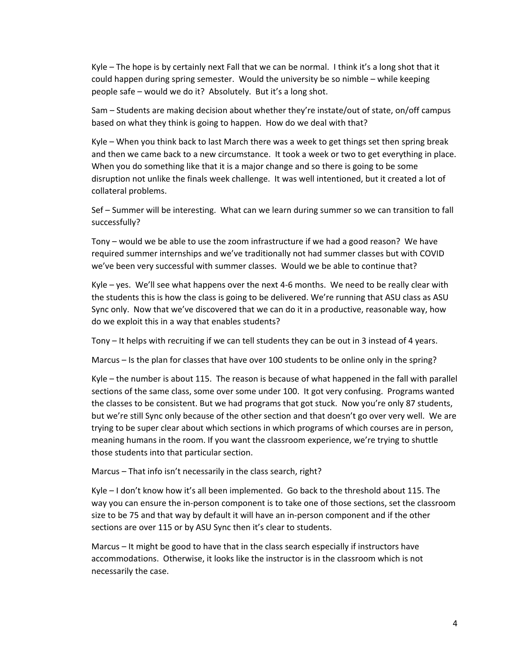Kyle – The hope is by certainly next Fall that we can be normal. I think it's a long shot that it could happen during spring semester. Would the university be so nimble – while keeping people safe – would we do it? Absolutely. But it's a long shot.

Sam – Students are making decision about whether they're instate/out of state, on/off campus based on what they think is going to happen. How do we deal with that?

Kyle – When you think back to last March there was a week to get things set then spring break and then we came back to a new circumstance. It took a week or two to get everything in place. When you do something like that it is a major change and so there is going to be some disruption not unlike the finals week challenge. It was well intentioned, but it created a lot of collateral problems.

Sef – Summer will be interesting. What can we learn during summer so we can transition to fall successfully?

Tony – would we be able to use the zoom infrastructure if we had a good reason? We have required summer internships and we've traditionally not had summer classes but with COVID we've been very successful with summer classes. Would we be able to continue that?

Kyle – yes. We'll see what happens over the next 4-6 months. We need to be really clear with the students this is how the class is going to be delivered. We're running that ASU class as ASU Sync only. Now that we've discovered that we can do it in a productive, reasonable way, how do we exploit this in a way that enables students?

Tony – It helps with recruiting if we can tell students they can be out in 3 instead of 4 years.

Marcus – Is the plan for classes that have over 100 students to be online only in the spring?

Kyle – the number is about 115. The reason is because of what happened in the fall with parallel sections of the same class, some over some under 100. It got very confusing. Programs wanted the classes to be consistent. But we had programs that got stuck. Now you're only 87 students, but we're still Sync only because of the other section and that doesn't go over very well. We are trying to be super clear about which sections in which programs of which courses are in person, meaning humans in the room. If you want the classroom experience, we're trying to shuttle those students into that particular section.

Marcus – That info isn't necessarily in the class search, right?

Kyle – I don't know how it's all been implemented. Go back to the threshold about 115. The way you can ensure the in-person component is to take one of those sections, set the classroom size to be 75 and that way by default it will have an in-person component and if the other sections are over 115 or by ASU Sync then it's clear to students.

Marcus – It might be good to have that in the class search especially if instructors have accommodations. Otherwise, it looks like the instructor is in the classroom which is not necessarily the case.